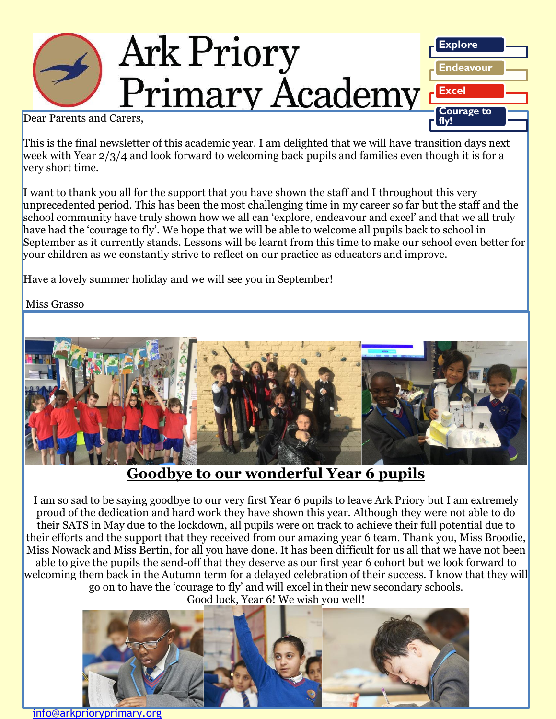

Dear Parents and Carers,

This is the final newsletter of this academic year. I am delighted that we will have transition days next week with Year 2/3/4 and look forward to welcoming back pupils and families even though it is for a very short time.

I want to thank you all for the support that you have shown the staff and I throughout this very unprecedented period. This has been the most challenging time in my career so far but the staff and the school community have truly shown how we all can 'explore, endeavour and excel' and that we all truly have had the 'courage to fly'. We hope that we will be able to welcome all pupils back to school in September as it currently stands. Lessons will be learnt from this time to make our school even better for your children as we constantly strive to reflect on our practice as educators and improve.

Have a lovely summer holiday and we will see you in September!

Miss Grasso



**Goodbye to our wonderful Year 6 pupils**

I am so sad to be saying goodbye to our very first Year 6 pupils to leave Ark Priory but I am extremely proud of the dedication and hard work they have shown this year. Although they were not able to do their SATS in May due to the lockdown, all pupils were on track to achieve their full potential due to their efforts and the support that they received from our amazing year 6 team. Thank you, Miss Broodie, Miss Nowack and Miss Bertin, for all you have done. It has been difficult for us all that we have not been able to give the pupils the send-off that they deserve as our first year 6 cohort but we look forward to welcoming them back in the Autumn term for a delayed celebration of their success. I know that they will go on to have the 'courage to fly' and will excel in their new secondary schools. Good luck, Year 6! We wish you well!



[info@arkprioryprimary.org](mailto:info@arkprioryprimary.org)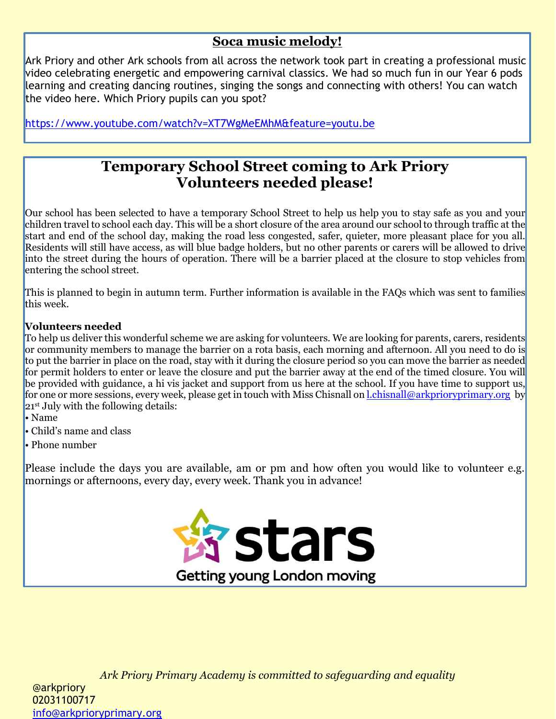### **Soca music melody!**

Ark Priory and other Ark schools from all across the network took part in creating a professional music video celebrating energetic and empowering carnival classics. We had so much fun in our Year 6 pods learning and creating dancing routines, singing the songs and connecting with others! You can watch the video here. Which Priory pupils can you spot?

<https://www.youtube.com/watch?v=XT7WgMeEMhM&feature=youtu.be>

## **Temporary School Street coming to Ark Priory Volunteers needed please!**

Our school has been selected to have a temporary School Street to help us help you to stay safe as you and your children travel to school each day. This will be a short closure of the area around our schoolto through traffic at the start and end of the school day, making the road less congested, safer, quieter, more pleasant place for you all. Residents will still have access, as will blue badge holders, but no other parents or carers will be allowed to drive into the street during the hours of operation. There will be a barrier placed at the closure to stop vehicles from entering the school street.

This is planned to begin in autumn term. Further information is available in the FAQs which was sent to families this week.

#### **Volunteers needed**

To help us deliver this wonderful scheme we are asking for volunteers. We are looking for parents, carers, residents<br>see assumenting parabolic to magazine the harding are a rate hasis, saak magnitude of aftermasm. All you or communty members to manage the barrier on a rota basis, each morning and arternoon. An you need to do is<br>to put the barrier in place on the road, stay with it during the closure period so you can move the barrier as nee be provided with guidance, a hi vis jacket and support from us here at the school. If you have time to support us, for one or more sessions, every week, please get in touch with Miss Chisnall on <u>[l.chisnall@arkprioryprimary.org](mailto:l.chisnall@arkprioryprimary.org)</u> by or community members to manage the barrier on a rota basis, each morning and afternoon. All you need to do is for permit holders to enter or leave the closure and put the barrier away at the end of the timed closure. You will 21<sup>st</sup> July with the following details:

- Name
- Child's name and class
- Phone number

Please include the days you are available, am or pm and how often you would like to volunteer e.g. mornings or afternoons, every day, every week. Thank you in advance!

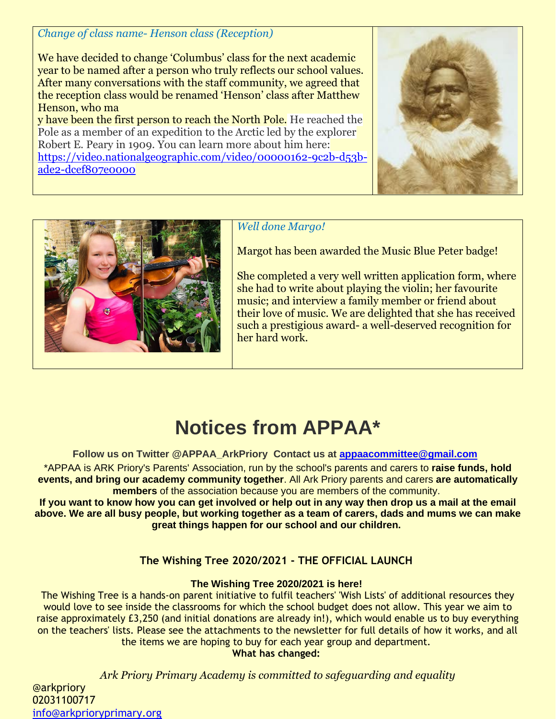*Change of class name- Henson class (Reception)*

We have decided to change 'Columbus' class for the next academic year to be named after a person who truly reflects our school values. After many conversations with the staff community, we agreed that the reception class would be renamed 'Henson' class after Matthew Henson, who ma

y have been the first person to reach the North Pole. He reached the Pole as a member of an expedition to the Arctic led by the explorer Robert E. Peary in 1909. You can learn more about him here: [https://video.nationalgeographic.com/video/00000162-9c2b-d53b](https://video.nationalgeographic.com/video/00000162-9c2b-d53b-ade2-dcef807e0000)[ade2-dcef807e0000](https://video.nationalgeographic.com/video/00000162-9c2b-d53b-ade2-dcef807e0000)





*Well done Margo!*

Margot has been awarded the Music Blue Peter badge!

She completed a very well written application form, where she had to write about playing the violin; her favourite music; and interview a family member or friend about their love of music. We are delighted that she has received such a prestigious award- a well-deserved recognition for her hard work.

# **Notices from APPAA\***

**Follow us on Twitter @APPAA\_ArkPriory Contact us at [appaacommittee@gmail.com](mailto:appaacommittee@gmail.com)**

\*APPAA is ARK Priory's Parents' Association, run by the school's parents and carers to **raise funds, hold events, and bring our academy community together**. All Ark Priory parents and carers **are automatically members** of the association because you are members of the community.

**If you want to know how you can get involved or help out in any way then drop us a mail at the email above. We are all busy people, but working together as a team of carers, dads and mums we can make great things happen for our school and our children.**

#### **The Wishing Tree 2020/2021 - THE OFFICIAL LAUNCH**

#### **The Wishing Tree 2020/2021 is here!**

The Wishing Tree is a hands-on parent initiative to fulfil teachers' 'Wish Lists' of additional resources they would love to see inside the classrooms for which the school budget does not allow. This year we aim to raise approximately £3,250 (and initial donations are already in!), which would enable us to buy everything on the teachers' lists. Please see the attachments to the newsletter for full details of how it works, and all the items we are hoping to buy for each year group and department.

**What has changed:**

*Ark Priory Primary Academy is committed to safeguarding and equality* 

@arkpriory 02031100717 [info@arkprioryprimary.org](mailto:info@arkprioryprimary.org)